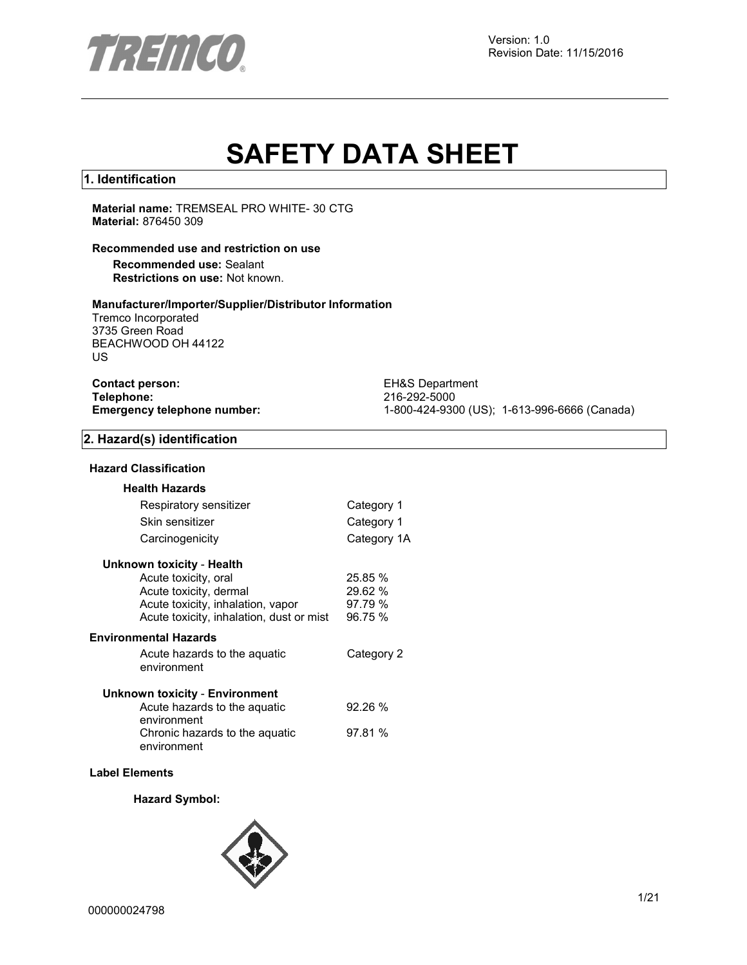

# **SAFETY DATA SHEET**

#### **1. Identification**

**Material name:** TREMSEAL PRO WHITE- 30 CTG **Material:** 876450 309

#### **Recommended use and restriction on use**

**Recommended use:** Sealant **Restrictions on use:** Not known.

#### **Manufacturer/Importer/Supplier/Distributor Information**

Tremco Incorporated 3735 Green Road BEACHWOOD OH 44122 US

| <b>Contact person:</b>      |  |
|-----------------------------|--|
| Telephone:                  |  |
| Emergency telephone number: |  |

**EH&S Department Telephone:** 216-292-5000 **Emergency telephone number:** 1-800-424-9300 (US); 1-613-996-6666 (Canada)

#### **2. Hazard(s) identification**

#### **Hazard Classification**

| <b>Health Hazards</b>                         |             |
|-----------------------------------------------|-------------|
| Respiratory sensitizer                        | Category 1  |
| Skin sensitizer                               | Category 1  |
| Carcinogenicity                               | Category 1A |
| Unknown toxicity - Health                     |             |
| Acute toxicity, oral                          | 25.85 %     |
| Acute toxicity, dermal                        | 29.62 %     |
| Acute toxicity, inhalation, vapor             | 97.79 %     |
| Acute toxicity, inhalation, dust or mist      | 96.75 %     |
| <b>Environmental Hazards</b>                  |             |
| Acute hazards to the aquatic                  | Category 2  |
| environment                                   |             |
| Unknown toxicity - Environment                |             |
| Acute hazards to the aquatic                  | 92.26%      |
| environment<br>Chronic hazards to the aquatic | 97.81 %     |
| environment                                   |             |
|                                               |             |

#### **Label Elements**

**Hazard Symbol:**

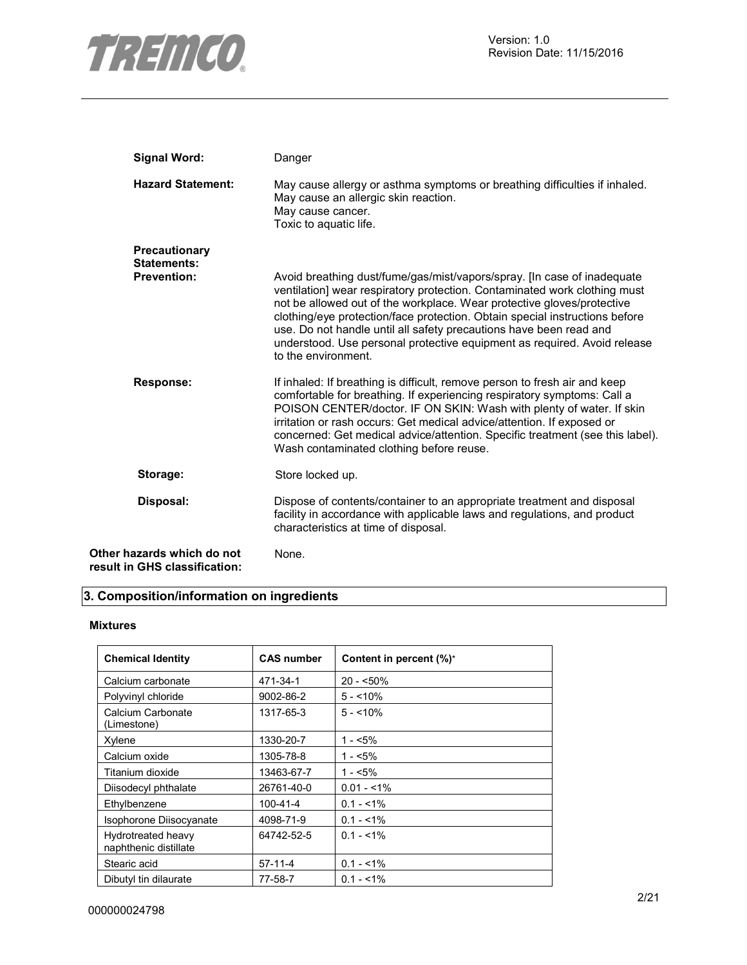

| <b>Signal Word:</b>                                         | Danger                                                                                                                                                                                                                                                                                                                                                                                                                                                                                 |
|-------------------------------------------------------------|----------------------------------------------------------------------------------------------------------------------------------------------------------------------------------------------------------------------------------------------------------------------------------------------------------------------------------------------------------------------------------------------------------------------------------------------------------------------------------------|
| <b>Hazard Statement:</b>                                    | May cause allergy or asthma symptoms or breathing difficulties if inhaled.<br>May cause an allergic skin reaction.<br>May cause cancer.<br>Toxic to aquatic life.                                                                                                                                                                                                                                                                                                                      |
| Precautionary<br><b>Statements:</b>                         |                                                                                                                                                                                                                                                                                                                                                                                                                                                                                        |
| <b>Prevention:</b>                                          | Avoid breathing dust/fume/gas/mist/vapors/spray. [In case of inadequate<br>ventilation] wear respiratory protection. Contaminated work clothing must<br>not be allowed out of the workplace. Wear protective gloves/protective<br>clothing/eye protection/face protection. Obtain special instructions before<br>use. Do not handle until all safety precautions have been read and<br>understood. Use personal protective equipment as required. Avoid release<br>to the environment. |
| <b>Response:</b>                                            | If inhaled: If breathing is difficult, remove person to fresh air and keep<br>comfortable for breathing. If experiencing respiratory symptoms: Call a<br>POISON CENTER/doctor. IF ON SKIN: Wash with plenty of water. If skin<br>irritation or rash occurs: Get medical advice/attention. If exposed or<br>concerned: Get medical advice/attention. Specific treatment (see this label).<br>Wash contaminated clothing before reuse.                                                   |
| Storage:                                                    | Store locked up.                                                                                                                                                                                                                                                                                                                                                                                                                                                                       |
| Disposal:                                                   | Dispose of contents/container to an appropriate treatment and disposal<br>facility in accordance with applicable laws and regulations, and product<br>characteristics at time of disposal.                                                                                                                                                                                                                                                                                             |
| Other hazards which do not<br>result in GHS classification: | None.                                                                                                                                                                                                                                                                                                                                                                                                                                                                                  |

# **3. Composition/information on ingredients**

#### **Mixtures**

| <b>Chemical Identity</b>                    | <b>CAS number</b> | Content in percent (%)* |
|---------------------------------------------|-------------------|-------------------------|
| Calcium carbonate                           | 471-34-1          | $20 - 50\%$             |
| Polyvinyl chloride                          | 9002-86-2         | $5 - 10\%$              |
| Calcium Carbonate<br>(Limestone)            | 1317-65-3         | $5 - 10\%$              |
| Xylene                                      | 1330-20-7         | $1 - 5\%$               |
| Calcium oxide                               | 1305-78-8         | $1 - 5%$                |
| Titanium dioxide                            | 13463-67-7        | $1 - 5\%$               |
| Diisodecyl phthalate                        | 26761-40-0        | $0.01 - 1\%$            |
| Ethylbenzene                                | 100-41-4          | $0.1 - 1\%$             |
| Isophorone Diisocyanate                     | 4098-71-9         | $0.1 - 1\%$             |
| Hydrotreated heavy<br>naphthenic distillate | 64742-52-5        | $0.1 - 1\%$             |
| Stearic acid                                | $57-11-4$         | $0.1 - 1\%$             |
| Dibutyl tin dilaurate                       | 77-58-7           | $0.1 - 1\%$             |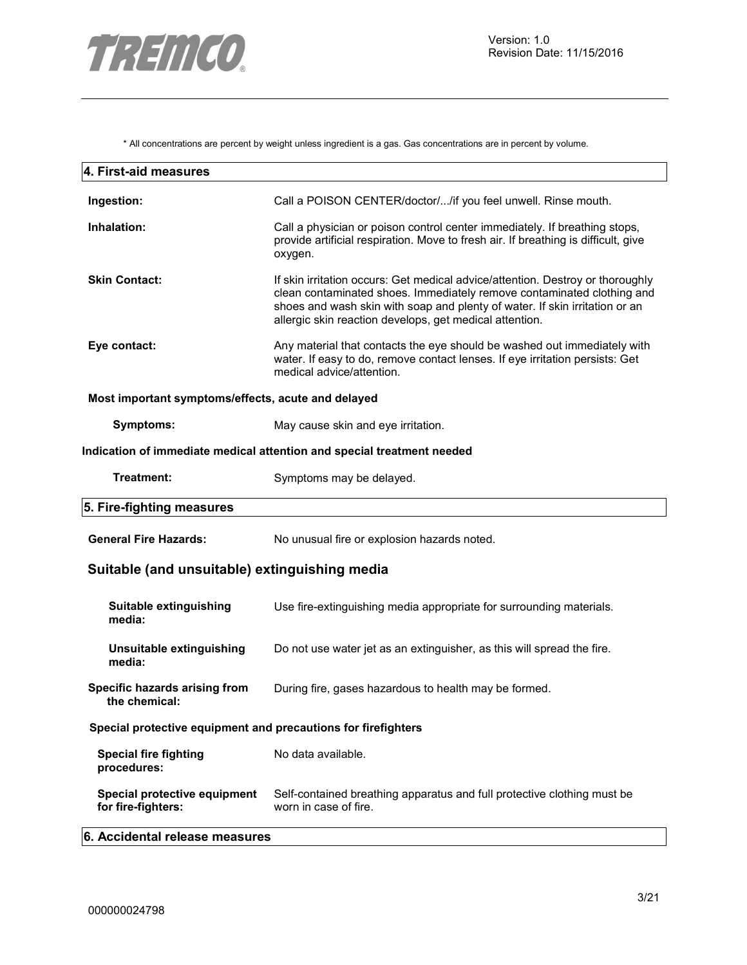

\* All concentrations are percent by weight unless ingredient is a gas. Gas concentrations are in percent by volume.

| 4. First-aid measures                                         |                                                                                                                                                                                                                                                                                                    |
|---------------------------------------------------------------|----------------------------------------------------------------------------------------------------------------------------------------------------------------------------------------------------------------------------------------------------------------------------------------------------|
| Ingestion:                                                    | Call a POISON CENTER/doctor//if you feel unwell. Rinse mouth.                                                                                                                                                                                                                                      |
| Inhalation:                                                   | Call a physician or poison control center immediately. If breathing stops,<br>provide artificial respiration. Move to fresh air. If breathing is difficult, give<br>oxygen.                                                                                                                        |
| <b>Skin Contact:</b>                                          | If skin irritation occurs: Get medical advice/attention. Destroy or thoroughly<br>clean contaminated shoes. Immediately remove contaminated clothing and<br>shoes and wash skin with soap and plenty of water. If skin irritation or an<br>allergic skin reaction develops, get medical attention. |
| Eye contact:                                                  | Any material that contacts the eye should be washed out immediately with<br>water. If easy to do, remove contact lenses. If eye irritation persists: Get<br>medical advice/attention.                                                                                                              |
| Most important symptoms/effects, acute and delayed            |                                                                                                                                                                                                                                                                                                    |
| <b>Symptoms:</b>                                              | May cause skin and eye irritation.                                                                                                                                                                                                                                                                 |
|                                                               | Indication of immediate medical attention and special treatment needed                                                                                                                                                                                                                             |
| Treatment:                                                    | Symptoms may be delayed.                                                                                                                                                                                                                                                                           |
| 5. Fire-fighting measures                                     |                                                                                                                                                                                                                                                                                                    |
| <b>General Fire Hazards:</b>                                  | No unusual fire or explosion hazards noted.                                                                                                                                                                                                                                                        |
| Suitable (and unsuitable) extinguishing media                 |                                                                                                                                                                                                                                                                                                    |
| Suitable extinguishing<br>media:                              | Use fire-extinguishing media appropriate for surrounding materials.                                                                                                                                                                                                                                |
| Unsuitable extinguishing<br>media:                            | Do not use water jet as an extinguisher, as this will spread the fire.                                                                                                                                                                                                                             |
| Specific hazards arising from<br>the chemical:                | During fire, gases hazardous to health may be formed.                                                                                                                                                                                                                                              |
| Special protective equipment and precautions for firefighters |                                                                                                                                                                                                                                                                                                    |
| <b>Special fire fighting</b><br>procedures:                   | No data available.                                                                                                                                                                                                                                                                                 |
| Special protective equipment<br>for fire-fighters:            | Self-contained breathing apparatus and full protective clothing must be<br>worn in case of fire.                                                                                                                                                                                                   |
| 6. Accidental release measures                                |                                                                                                                                                                                                                                                                                                    |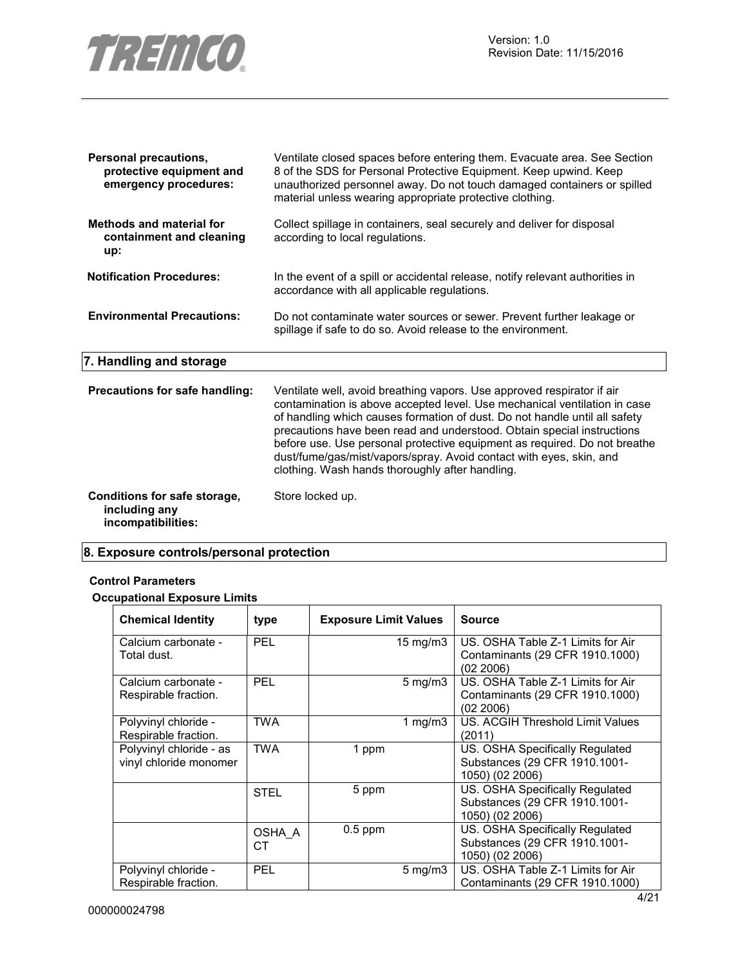

| <b>Personal precautions,</b><br>protective equipment and<br>emergency procedures: | Ventilate closed spaces before entering them. Evacuate area. See Section<br>8 of the SDS for Personal Protective Equipment. Keep upwind. Keep<br>unauthorized personnel away. Do not touch damaged containers or spilled<br>material unless wearing appropriate protective clothing.                                                                                                                                                                                                                               |
|-----------------------------------------------------------------------------------|--------------------------------------------------------------------------------------------------------------------------------------------------------------------------------------------------------------------------------------------------------------------------------------------------------------------------------------------------------------------------------------------------------------------------------------------------------------------------------------------------------------------|
| <b>Methods and material for</b><br>containment and cleaning<br>up:                | Collect spillage in containers, seal securely and deliver for disposal<br>according to local regulations.                                                                                                                                                                                                                                                                                                                                                                                                          |
| <b>Notification Procedures:</b>                                                   | In the event of a spill or accidental release, notify relevant authorities in<br>accordance with all applicable regulations.                                                                                                                                                                                                                                                                                                                                                                                       |
| <b>Environmental Precautions:</b>                                                 | Do not contaminate water sources or sewer. Prevent further leakage or<br>spillage if safe to do so. Avoid release to the environment.                                                                                                                                                                                                                                                                                                                                                                              |
| 7. Handling and storage                                                           |                                                                                                                                                                                                                                                                                                                                                                                                                                                                                                                    |
| Precautions for safe handling:                                                    | Ventilate well, avoid breathing vapors. Use approved respirator if air<br>contamination is above accepted level. Use mechanical ventilation in case<br>of handling which causes formation of dust. Do not handle until all safety<br>precautions have been read and understood. Obtain special instructions<br>before use. Use personal protective equipment as required. Do not breathe<br>dust/fume/gas/mist/vapors/spray. Avoid contact with eyes, skin, and<br>clothing. Wash hands thoroughly after handling. |
| Conditions for safe storage,<br>including any<br>incompatibilities:               | Store locked up.                                                                                                                                                                                                                                                                                                                                                                                                                                                                                                   |

# **8. Exposure controls/personal protection**

#### **Control Parameters**

# **Occupational Exposure Limits**

| <b>Chemical Identity</b>                          | type         | <b>Exposure Limit Values</b> |                    | <b>Source</b>                                                                       |
|---------------------------------------------------|--------------|------------------------------|--------------------|-------------------------------------------------------------------------------------|
| Calcium carbonate -<br>Total dust.                | <b>PEL</b>   |                              | 15 mg/m $3$        | US. OSHA Table Z-1 Limits for Air<br>Contaminants (29 CFR 1910.1000)<br>(02 2006)   |
| Calcium carbonate -<br>Respirable fraction.       | <b>PEL</b>   |                              | $5 \text{ mg/m}$ 3 | US. OSHA Table Z-1 Limits for Air<br>Contaminants (29 CFR 1910.1000)<br>(02 2006)   |
| Polyvinyl chloride -<br>Respirable fraction.      | <b>TWA</b>   |                              | 1 mg/m $3$         | US. ACGIH Threshold Limit Values<br>(2011)                                          |
| Polyvinyl chloride - as<br>vinyl chloride monomer | <b>TWA</b>   | 1 ppm                        |                    | US. OSHA Specifically Regulated<br>Substances (29 CFR 1910.1001-<br>1050) (02 2006) |
|                                                   | <b>STEL</b>  | 5 ppm                        |                    | US. OSHA Specifically Regulated<br>Substances (29 CFR 1910.1001-<br>1050) (02 2006) |
|                                                   | OSHA A<br>CТ | $0.5$ ppm                    |                    | US. OSHA Specifically Regulated<br>Substances (29 CFR 1910.1001-<br>1050) (02 2006) |
| Polyvinyl chloride -<br>Respirable fraction.      | <b>PEL</b>   |                              | $5 \text{ mg/m}$ 3 | US. OSHA Table Z-1 Limits for Air<br>Contaminants (29 CFR 1910.1000)                |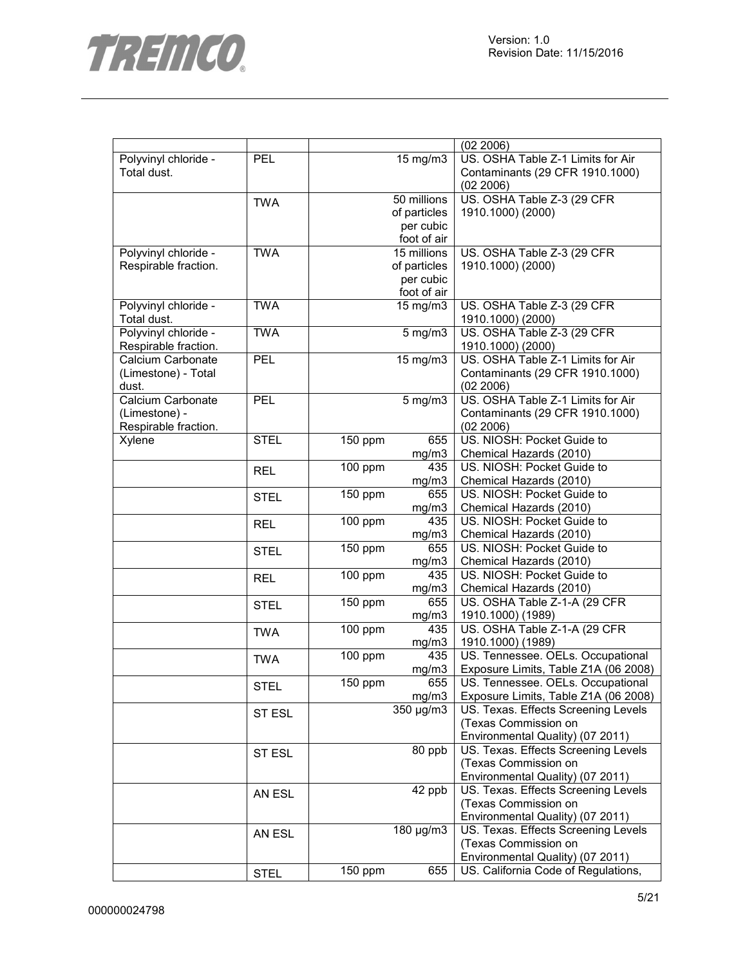

|                      |             |                      |              | (02 2006)                            |
|----------------------|-------------|----------------------|--------------|--------------------------------------|
| Polyvinyl chloride - | PEL         |                      | 15 mg/m3     | US. OSHA Table Z-1 Limits for Air    |
| Total dust.          |             |                      |              | Contaminants (29 CFR 1910.1000)      |
|                      |             |                      |              | (02 2006)                            |
|                      | <b>TWA</b>  |                      | 50 millions  | US. OSHA Table Z-3 (29 CFR           |
|                      |             |                      | of particles | 1910.1000) (2000)                    |
|                      |             |                      | per cubic    |                                      |
|                      |             |                      | foot of air  |                                      |
| Polyvinyl chloride - | <b>TWA</b>  |                      | 15 millions  | US. OSHA Table Z-3 (29 CFR           |
| Respirable fraction. |             |                      | of particles | 1910.1000) (2000)                    |
|                      |             |                      |              |                                      |
|                      |             |                      | per cubic    |                                      |
|                      |             |                      | foot of air  |                                      |
| Polyvinyl chloride - | <b>TWA</b>  |                      | 15 mg/m3     | US. OSHA Table Z-3 (29 CFR           |
| Total dust.          |             |                      |              | 1910.1000) (2000)                    |
| Polyvinyl chloride - | <b>TWA</b>  |                      | $5$ mg/m $3$ | US. OSHA Table Z-3 (29 CFR           |
| Respirable fraction. |             |                      |              | 1910.1000) (2000)                    |
| Calcium Carbonate    | PEL         |                      | 15 mg/m3     | US. OSHA Table Z-1 Limits for Air    |
| (Limestone) - Total  |             |                      |              | Contaminants (29 CFR 1910.1000)      |
| dust.                |             |                      |              | (02 2006)                            |
| Calcium Carbonate    | <b>PEL</b>  |                      | $5$ mg/m $3$ | US. OSHA Table Z-1 Limits for Air    |
| (Limestone) -        |             |                      |              | Contaminants (29 CFR 1910.1000)      |
| Respirable fraction. |             |                      |              | (02 2006)                            |
| Xylene               | <b>STEL</b> | 150 ppm              | 655          | US. NIOSH: Pocket Guide to           |
|                      |             |                      | mg/m3        | Chemical Hazards (2010)              |
|                      | <b>REL</b>  | 100 ppm              | 435          | US. NIOSH: Pocket Guide to           |
|                      |             |                      | mg/m3        | Chemical Hazards (2010)              |
|                      |             | 150 ppm              | 655          | US. NIOSH: Pocket Guide to           |
|                      | <b>STEL</b> |                      | mg/m3        | Chemical Hazards (2010)              |
|                      |             | 100 ppm              | 435          | US. NIOSH: Pocket Guide to           |
|                      | <b>REL</b>  |                      | mg/m3        | Chemical Hazards (2010)              |
|                      |             |                      | 655          | US. NIOSH: Pocket Guide to           |
|                      | <b>STEL</b> | 150 ppm              |              |                                      |
|                      |             |                      | mg/m3        | Chemical Hazards (2010)              |
|                      | <b>REL</b>  | 100 ppm              | 435          | US. NIOSH: Pocket Guide to           |
|                      |             |                      | mg/m3        | Chemical Hazards (2010)              |
|                      | <b>STEL</b> | 150 ppm              | 655          | US. OSHA Table Z-1-A (29 CFR         |
|                      |             |                      | mg/m3        | 1910.1000) (1989)                    |
|                      | <b>TWA</b>  | 100 ppm              | 435          | US. OSHA Table Z-1-A (29 CFR         |
|                      |             |                      | mg/m3        | 1910.1000) (1989)                    |
|                      | <b>TWA</b>  | 100 ppm              | 435          | US. Tennessee. OELs. Occupational    |
|                      |             |                      | mg/m3        | Exposure Limits, Table Z1A (06 2008) |
|                      | <b>STEL</b> | $\overline{1}50$ ppm | 655          | US. Tennessee. OELs. Occupational    |
|                      |             |                      | mg/m3        | Exposure Limits, Table Z1A (06 2008) |
|                      | ST ESL      |                      | 350 µg/m3    | US. Texas. Effects Screening Levels  |
|                      |             |                      |              | (Texas Commission on                 |
|                      |             |                      |              | Environmental Quality) (07 2011)     |
|                      | ST ESL      |                      | 80 ppb       | US. Texas. Effects Screening Levels  |
|                      |             |                      |              | (Texas Commission on                 |
|                      |             |                      |              | Environmental Quality) (07 2011)     |
|                      |             |                      | 42 ppb       | US. Texas. Effects Screening Levels  |
|                      | AN ESL      |                      |              | (Texas Commission on                 |
|                      |             |                      |              | Environmental Quality) (07 2011)     |
|                      |             |                      | 180 µg/m3    | US. Texas. Effects Screening Levels  |
|                      | AN ESL      |                      |              |                                      |
|                      |             |                      |              | (Texas Commission on                 |
|                      |             |                      |              | Environmental Quality) (07 2011)     |
|                      | <b>STEL</b> | 150 ppm              | 655          | US. California Code of Regulations,  |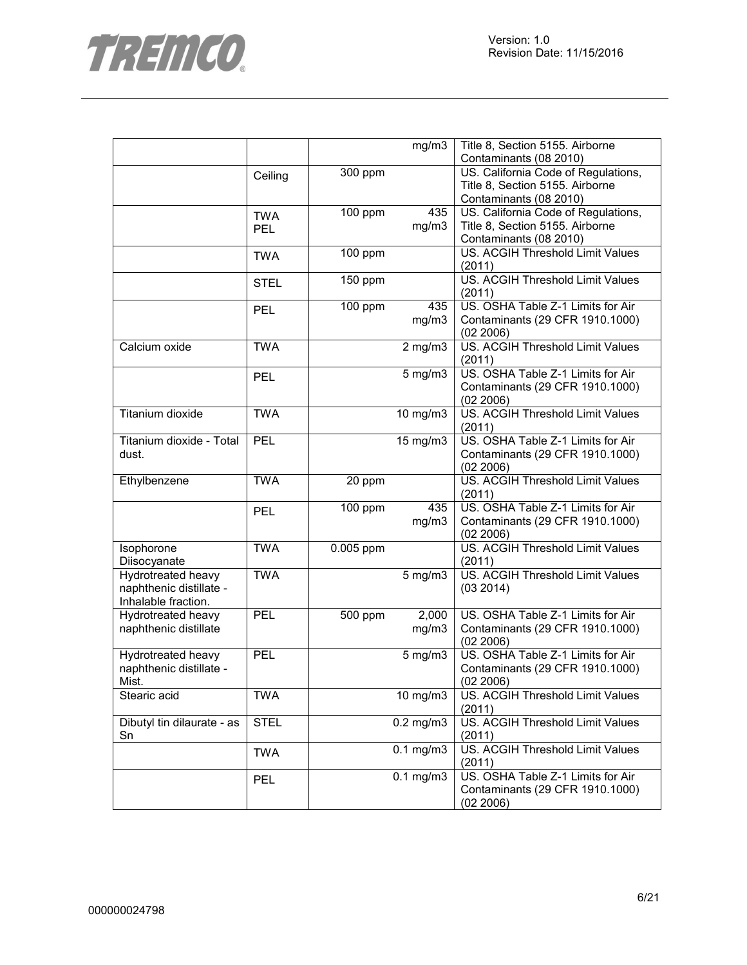

|                            |             |           | mg/m3                         | Title 8, Section 5155. Airborne         |
|----------------------------|-------------|-----------|-------------------------------|-----------------------------------------|
|                            |             |           |                               | Contaminants (08 2010)                  |
|                            | Ceiling     | 300 ppm   |                               | US. California Code of Regulations,     |
|                            |             |           |                               | Title 8, Section 5155. Airborne         |
|                            |             |           |                               | Contaminants (08 2010)                  |
|                            | <b>TWA</b>  | 100 ppm   | 435                           | US. California Code of Regulations,     |
|                            | <b>PEL</b>  |           | mg/m3                         | Title 8, Section 5155. Airborne         |
|                            |             |           |                               | Contaminants (08 2010)                  |
|                            | <b>TWA</b>  | 100 ppm   |                               | US. ACGIH Threshold Limit Values        |
|                            |             |           |                               | (2011)                                  |
|                            | <b>STEL</b> | 150 ppm   |                               | <b>US. ACGIH Threshold Limit Values</b> |
|                            |             |           |                               | (2011)                                  |
|                            | <b>PEL</b>  | 100 ppm   | 435                           | US. OSHA Table Z-1 Limits for Air       |
|                            |             |           | mg/m3                         | Contaminants (29 CFR 1910.1000)         |
|                            |             |           |                               | (02 2006)                               |
| Calcium oxide              | <b>TWA</b>  |           | $2$ mg/m $3$                  | US. ACGIH Threshold Limit Values        |
|                            |             |           |                               | (2011)                                  |
|                            | <b>PEL</b>  |           | $5$ mg/m $3$                  | US. OSHA Table Z-1 Limits for Air       |
|                            |             |           |                               | Contaminants (29 CFR 1910.1000)         |
|                            |             |           |                               | (02 2006)                               |
| Titanium dioxide           | <b>TWA</b>  |           | 10 mg/m3                      | US. ACGIH Threshold Limit Values        |
|                            |             |           |                               | (2011)                                  |
| Titanium dioxide - Total   | PEL         |           | 15 mg/m3                      | US. OSHA Table Z-1 Limits for Air       |
| dust.                      |             |           |                               | Contaminants (29 CFR 1910.1000)         |
|                            |             |           |                               | (02 2006)                               |
| Ethylbenzene               | <b>TWA</b>  | 20 ppm    |                               | US. ACGIH Threshold Limit Values        |
|                            |             |           |                               | (2011)                                  |
|                            | <b>PEL</b>  | 100 ppm   | 435                           | US. OSHA Table Z-1 Limits for Air       |
|                            |             |           | mg/m3                         | Contaminants (29 CFR 1910.1000)         |
|                            |             |           |                               | (02 2006)                               |
| Isophorone                 | <b>TWA</b>  | 0.005 ppm |                               | US. ACGIH Threshold Limit Values        |
| Diisocyanate               |             |           |                               | (2011)                                  |
| <b>Hydrotreated heavy</b>  | <b>TWA</b>  |           | $5 \overline{\mathrm{mg}}$ m3 | US. ACGIH Threshold Limit Values        |
| naphthenic distillate -    |             |           |                               | (03 2014)                               |
| Inhalable fraction.        |             |           |                               |                                         |
| <b>Hydrotreated heavy</b>  | PEL         | 500 ppm   | 2,000                         | US. OSHA Table Z-1 Limits for Air       |
| naphthenic distillate      |             |           | mg/m3                         | Contaminants (29 CFR 1910.1000)         |
|                            |             |           |                               | (02 2006)                               |
| Hydrotreated heavy         | <b>PEL</b>  |           | $5$ mg/m $3$                  | US. OSHA Table Z-1 Limits for Air       |
| naphthenic distillate -    |             |           |                               | Contaminants (29 CFR 1910.1000)         |
| Mist.                      |             |           |                               | (02 2006)                               |
| Stearic acid               | <b>TWA</b>  |           | 10 mg/m3                      | US. ACGIH Threshold Limit Values        |
|                            |             |           |                               | (2011)                                  |
| Dibutyl tin dilaurate - as | <b>STEL</b> |           | $\overline{0.2}$ mg/m3        | US. ACGIH Threshold Limit Values        |
| Sn                         |             |           |                               | (2011)                                  |
|                            | <b>TWA</b>  |           | $0.1$ mg/m $3$                | US. ACGIH Threshold Limit Values        |
|                            |             |           |                               | (2011)                                  |
|                            | <b>PEL</b>  |           | $0.1$ mg/m $3$                | US. OSHA Table Z-1 Limits for Air       |
|                            |             |           |                               | Contaminants (29 CFR 1910.1000)         |
|                            |             |           |                               | (02 2006)                               |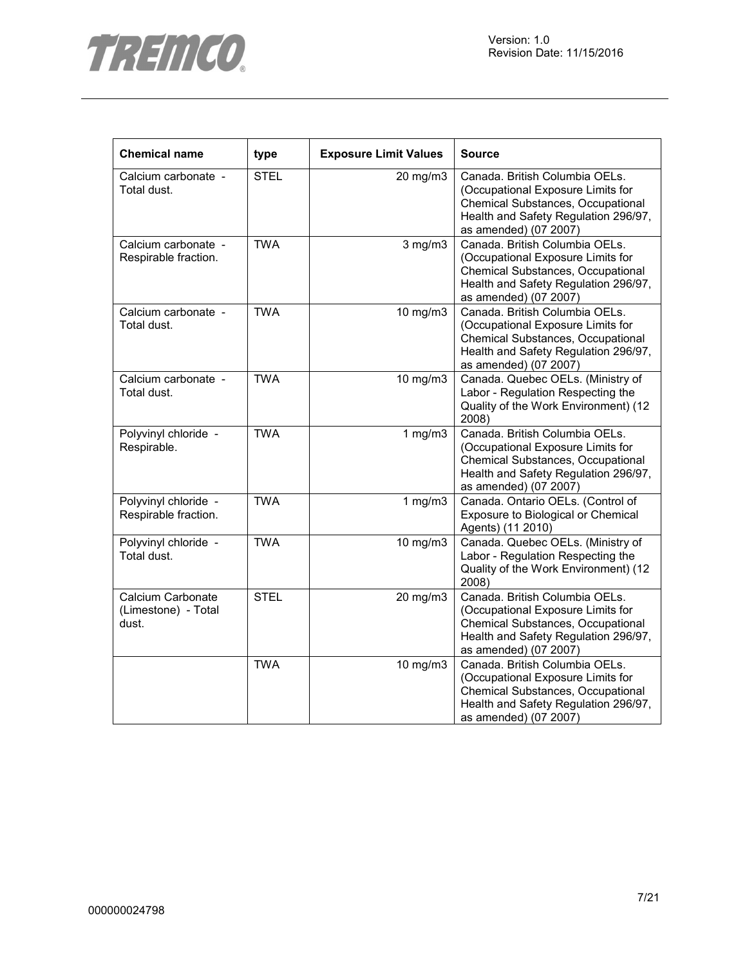



| <b>Chemical name</b>                              | type        | <b>Exposure Limit Values</b> | <b>Source</b>                                                                                                                                                             |
|---------------------------------------------------|-------------|------------------------------|---------------------------------------------------------------------------------------------------------------------------------------------------------------------------|
| Calcium carbonate -<br>Total dust.                | <b>STEL</b> | 20 mg/m3                     | Canada. British Columbia OELs.<br>(Occupational Exposure Limits for<br>Chemical Substances, Occupational<br>Health and Safety Regulation 296/97,<br>as amended) (07 2007) |
| Calcium carbonate -<br>Respirable fraction.       | <b>TWA</b>  | $3$ mg/m $3$                 | Canada. British Columbia OELs.<br>(Occupational Exposure Limits for<br>Chemical Substances, Occupational<br>Health and Safety Regulation 296/97,<br>as amended) (07 2007) |
| Calcium carbonate -<br>Total dust.                | <b>TWA</b>  | 10 mg/m3                     | Canada. British Columbia OELs.<br>(Occupational Exposure Limits for<br>Chemical Substances, Occupational<br>Health and Safety Regulation 296/97,<br>as amended) (07 2007) |
| Calcium carbonate -<br>Total dust.                | <b>TWA</b>  | 10 mg/m3                     | Canada. Quebec OELs. (Ministry of<br>Labor - Regulation Respecting the<br>Quality of the Work Environment) (12<br>2008)                                                   |
| Polyvinyl chloride -<br>Respirable.               | <b>TWA</b>  | 1 $mg/m3$                    | Canada. British Columbia OELs.<br>(Occupational Exposure Limits for<br>Chemical Substances, Occupational<br>Health and Safety Regulation 296/97,<br>as amended) (07 2007) |
| Polyvinyl chloride -<br>Respirable fraction.      | <b>TWA</b>  | 1 $mg/m3$                    | Canada. Ontario OELs. (Control of<br>Exposure to Biological or Chemical<br>Agents) (11 2010)                                                                              |
| Polyvinyl chloride -<br>Total dust.               | <b>TWA</b>  | 10 mg/m3                     | Canada. Quebec OELs. (Ministry of<br>Labor - Regulation Respecting the<br>Quality of the Work Environment) (12<br>2008)                                                   |
| Calcium Carbonate<br>(Limestone) - Total<br>dust. | <b>STEL</b> | 20 mg/m3                     | Canada. British Columbia OELs.<br>(Occupational Exposure Limits for<br>Chemical Substances, Occupational<br>Health and Safety Regulation 296/97,<br>as amended) (07 2007) |
|                                                   | <b>TWA</b>  | 10 mg/m3                     | Canada. British Columbia OELs.<br>(Occupational Exposure Limits for<br>Chemical Substances, Occupational<br>Health and Safety Regulation 296/97,<br>as amended) (07 2007) |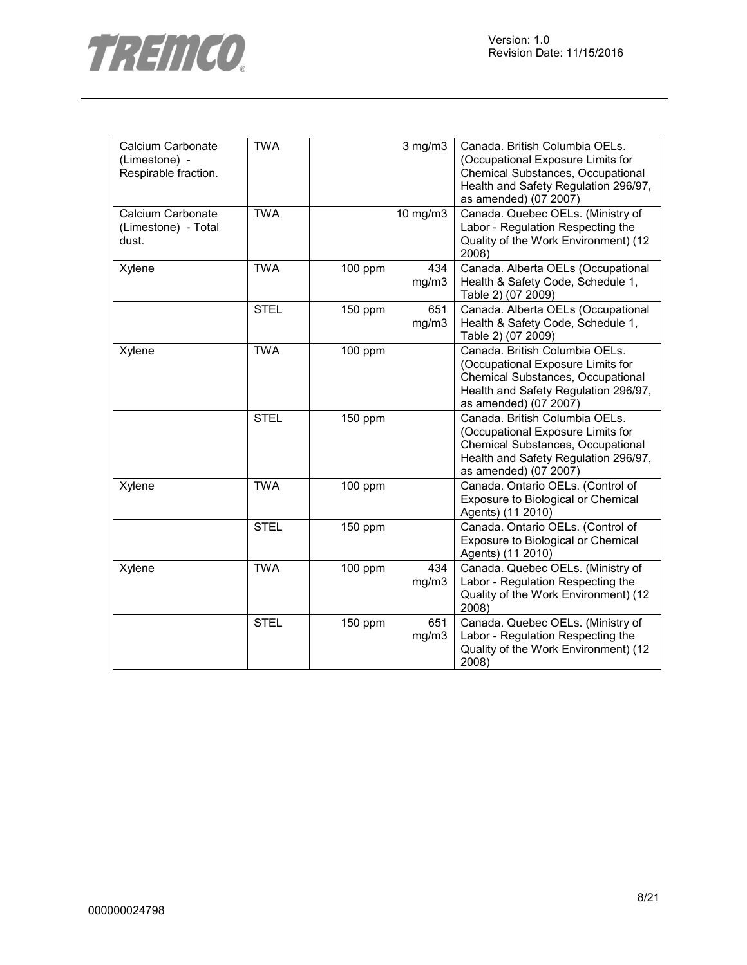

| Calcium Carbonate<br>(Limestone) -<br>Respirable fraction. | <b>TWA</b>  |         | $3$ mg/m $3$ | Canada. British Columbia OELs.<br>(Occupational Exposure Limits for<br>Chemical Substances, Occupational<br>Health and Safety Regulation 296/97,<br>as amended) (07 2007) |
|------------------------------------------------------------|-------------|---------|--------------|---------------------------------------------------------------------------------------------------------------------------------------------------------------------------|
| Calcium Carbonate<br>(Limestone) - Total<br>dust.          | <b>TWA</b>  |         | 10 mg/m3     | Canada. Quebec OELs. (Ministry of<br>Labor - Regulation Respecting the<br>Quality of the Work Environment) (12<br>2008)                                                   |
| Xylene                                                     | <b>TWA</b>  | 100 ppm | 434<br>mg/m3 | Canada. Alberta OELs (Occupational<br>Health & Safety Code, Schedule 1,<br>Table 2) (07 2009)                                                                             |
|                                                            | <b>STEL</b> | 150 ppm | 651<br>mg/m3 | Canada. Alberta OELs (Occupational<br>Health & Safety Code, Schedule 1,<br>Table 2) (07 2009)                                                                             |
| Xylene                                                     | <b>TWA</b>  | 100 ppm |              | Canada. British Columbia OELs.<br>(Occupational Exposure Limits for<br>Chemical Substances, Occupational<br>Health and Safety Regulation 296/97,<br>as amended) (07 2007) |
|                                                            | <b>STEL</b> | 150 ppm |              | Canada. British Columbia OELs.<br>(Occupational Exposure Limits for<br>Chemical Substances, Occupational<br>Health and Safety Regulation 296/97,<br>as amended) (07 2007) |
| Xylene                                                     | <b>TWA</b>  | 100 ppm |              | Canada. Ontario OELs. (Control of<br>Exposure to Biological or Chemical<br>Agents) (11 2010)                                                                              |
|                                                            | <b>STEL</b> | 150 ppm |              | Canada. Ontario OELs. (Control of<br>Exposure to Biological or Chemical<br>Agents) (11 2010)                                                                              |
| Xylene                                                     | <b>TWA</b>  | 100 ppm | 434<br>mg/m3 | Canada. Quebec OELs. (Ministry of<br>Labor - Regulation Respecting the<br>Quality of the Work Environment) (12<br>2008)                                                   |
|                                                            | <b>STEL</b> | 150 ppm | 651<br>mg/m3 | Canada. Quebec OELs. (Ministry of<br>Labor - Regulation Respecting the<br>Quality of the Work Environment) (12<br>2008)                                                   |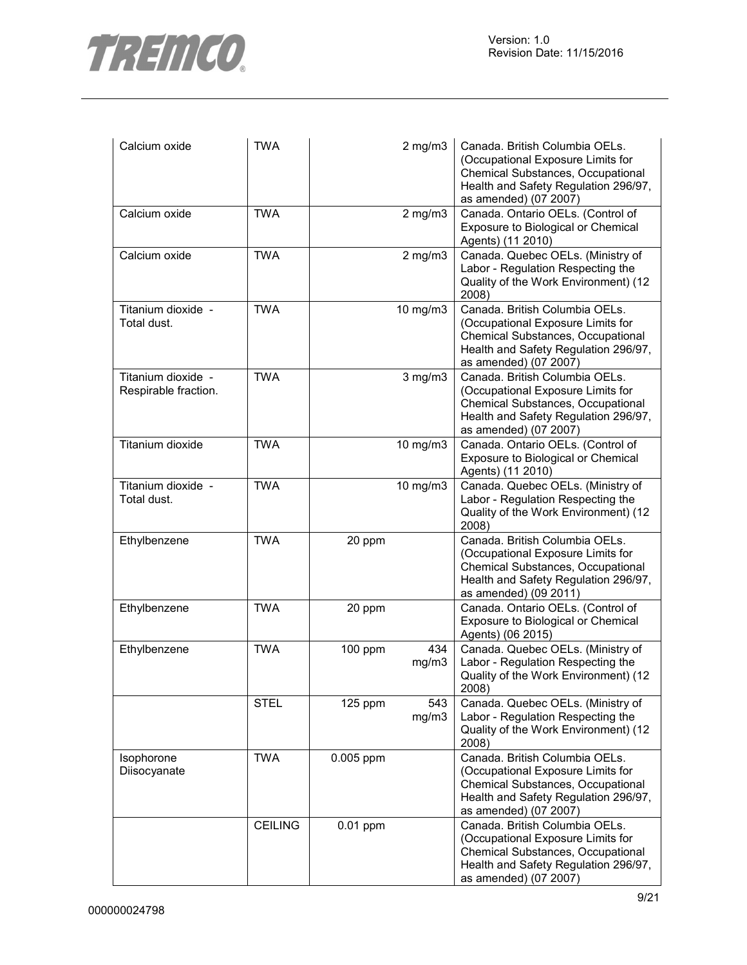

| Calcium oxide                              | <b>TWA</b>     |            | $2$ mg/m $3$ | Canada. British Columbia OELs.<br>(Occupational Exposure Limits for<br>Chemical Substances, Occupational<br>Health and Safety Regulation 296/97,<br>as amended) (07 2007) |
|--------------------------------------------|----------------|------------|--------------|---------------------------------------------------------------------------------------------------------------------------------------------------------------------------|
| Calcium oxide                              | <b>TWA</b>     |            | $2$ mg/m $3$ | Canada. Ontario OELs. (Control of<br>Exposure to Biological or Chemical<br>Agents) (11 2010)                                                                              |
| Calcium oxide                              | <b>TWA</b>     |            | $2$ mg/m $3$ | Canada. Quebec OELs. (Ministry of<br>Labor - Regulation Respecting the<br>Quality of the Work Environment) (12<br>2008)                                                   |
| Titanium dioxide -<br>Total dust.          | <b>TWA</b>     |            | 10 mg/m3     | Canada. British Columbia OELs.<br>(Occupational Exposure Limits for<br>Chemical Substances, Occupational<br>Health and Safety Regulation 296/97,<br>as amended) (07 2007) |
| Titanium dioxide -<br>Respirable fraction. | <b>TWA</b>     |            | $3$ mg/m $3$ | Canada. British Columbia OELs.<br>(Occupational Exposure Limits for<br>Chemical Substances, Occupational<br>Health and Safety Regulation 296/97,<br>as amended) (07 2007) |
| Titanium dioxide                           | <b>TWA</b>     |            | 10 mg/m3     | Canada. Ontario OELs. (Control of<br>Exposure to Biological or Chemical<br>Agents) (11 2010)                                                                              |
| Titanium dioxide -<br>Total dust.          | <b>TWA</b>     |            | 10 mg/m3     | Canada. Quebec OELs. (Ministry of<br>Labor - Regulation Respecting the<br>Quality of the Work Environment) (12<br>2008)                                                   |
| Ethylbenzene                               | <b>TWA</b>     | 20 ppm     |              | Canada. British Columbia OELs.<br>(Occupational Exposure Limits for<br>Chemical Substances, Occupational<br>Health and Safety Regulation 296/97,<br>as amended) (09 2011) |
| Ethylbenzene                               | <b>TWA</b>     | 20 ppm     |              | Canada. Ontario OELs. (Control of<br>Exposure to Biological or Chemical<br>Agents) (06 2015)                                                                              |
| Ethylbenzene                               | <b>TWA</b>     | 100 ppm    | 434<br>mg/m3 | Canada. Quebec OELs. (Ministry of<br>Labor - Regulation Respecting the<br>Quality of the Work Environment) (12<br>2008)                                                   |
|                                            | <b>STEL</b>    | $125$ ppm  | 543<br>mg/m3 | Canada. Quebec OELs. (Ministry of<br>Labor - Regulation Respecting the<br>Quality of the Work Environment) (12<br>2008)                                                   |
| Isophorone<br>Diisocyanate                 | <b>TWA</b>     | 0.005 ppm  |              | Canada. British Columbia OELs.<br>(Occupational Exposure Limits for<br>Chemical Substances, Occupational<br>Health and Safety Regulation 296/97,<br>as amended) (07 2007) |
|                                            | <b>CEILING</b> | $0.01$ ppm |              | Canada. British Columbia OELs.<br>(Occupational Exposure Limits for<br>Chemical Substances, Occupational<br>Health and Safety Regulation 296/97,<br>as amended) (07 2007) |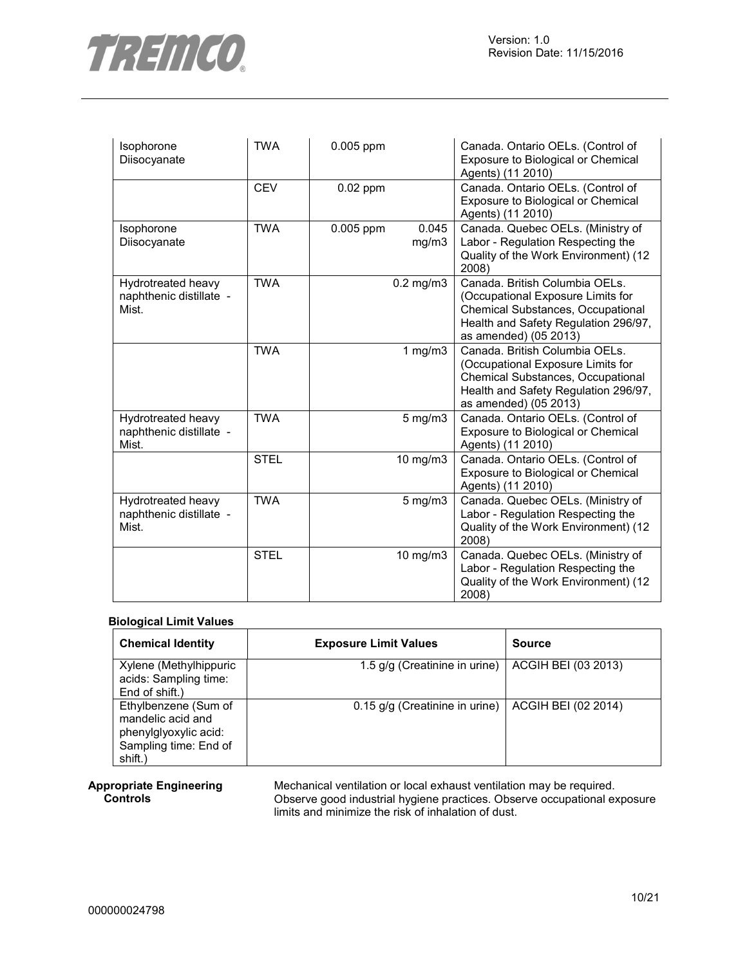

| Isophorone<br>Diisocyanate                             | <b>TWA</b>  | 0.005 ppm  |                | Canada. Ontario OELs. (Control of<br>Exposure to Biological or Chemical<br>Agents) (11 2010)                                                                                     |
|--------------------------------------------------------|-------------|------------|----------------|----------------------------------------------------------------------------------------------------------------------------------------------------------------------------------|
|                                                        | <b>CEV</b>  | $0.02$ ppm |                | Canada. Ontario OELs. (Control of<br>Exposure to Biological or Chemical<br>Agents) (11 2010)                                                                                     |
| Isophorone<br>Diisocyanate                             | <b>TWA</b>  | 0.005 ppm  | 0.045<br>mg/m3 | Canada. Quebec OELs. (Ministry of<br>Labor - Regulation Respecting the<br>Quality of the Work Environment) (12<br>2008)                                                          |
| Hydrotreated heavy<br>naphthenic distillate -<br>Mist. | <b>TWA</b>  |            | $0.2$ mg/m $3$ | Canada. British Columbia OELs.<br>(Occupational Exposure Limits for<br><b>Chemical Substances, Occupational</b><br>Health and Safety Regulation 296/97,<br>as amended) (05 2013) |
|                                                        | <b>TWA</b>  |            | 1 $mg/m3$      | Canada. British Columbia OELs.<br>(Occupational Exposure Limits for<br>Chemical Substances, Occupational<br>Health and Safety Regulation 296/97,<br>as amended) (05 2013)        |
| Hydrotreated heavy<br>naphthenic distillate -<br>Mist. | <b>TWA</b>  |            | $5$ mg/m $3$   | Canada. Ontario OELs. (Control of<br>Exposure to Biological or Chemical<br>Agents) (11 2010)                                                                                     |
|                                                        | <b>STEL</b> |            | 10 mg/m3       | Canada. Ontario OELs. (Control of<br>Exposure to Biological or Chemical<br>Agents) (11 2010)                                                                                     |
| Hydrotreated heavy<br>naphthenic distillate -<br>Mist. | <b>TWA</b>  |            | $5$ mg/m $3$   | Canada. Quebec OELs. (Ministry of<br>Labor - Regulation Respecting the<br>Quality of the Work Environment) (12<br>2008)                                                          |
|                                                        | <b>STEL</b> |            | 10 mg/m3       | Canada. Quebec OELs. (Ministry of<br>Labor - Regulation Respecting the<br>Quality of the Work Environment) (12<br>2008)                                                          |

#### **Biological Limit Values**

| <b>Chemical Identity</b>                                                                               | <b>Exposure Limit Values</b>   | <b>Source</b>       |
|--------------------------------------------------------------------------------------------------------|--------------------------------|---------------------|
| Xylene (Methylhippuric<br>acids: Sampling time:<br>End of shift.)                                      | 1.5 g/g (Creatinine in urine)  | ACGIH BEI (03 2013) |
| Ethylbenzene (Sum of<br>mandelic acid and<br>phenylglyoxylic acid:<br>Sampling time: End of<br>shift.) | 0.15 g/g (Creatinine in urine) | ACGIH BEI (02 2014) |

#### **Appropriate Engineering Controls**

Mechanical ventilation or local exhaust ventilation may be required. Observe good industrial hygiene practices. Observe occupational exposure limits and minimize the risk of inhalation of dust.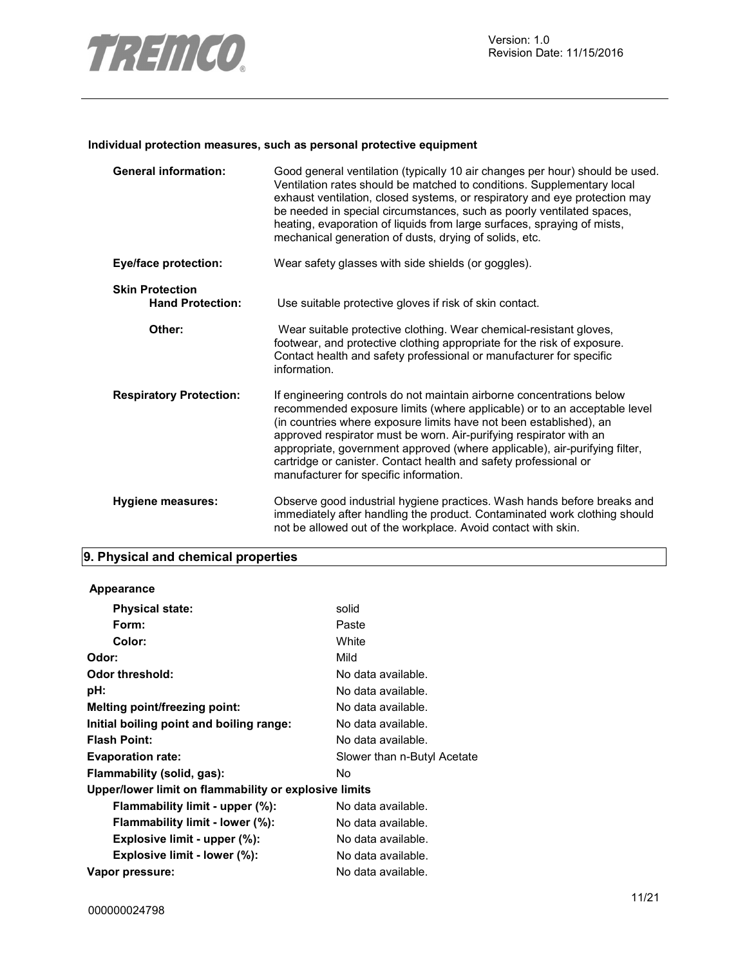

#### **Individual protection measures, such as personal protective equipment**

| <b>General information:</b>                       | Good general ventilation (typically 10 air changes per hour) should be used.<br>Ventilation rates should be matched to conditions. Supplementary local<br>exhaust ventilation, closed systems, or respiratory and eye protection may<br>be needed in special circumstances, such as poorly ventilated spaces,<br>heating, evaporation of liquids from large surfaces, spraying of mists,<br>mechanical generation of dusts, drying of solids, etc.                                        |
|---------------------------------------------------|-------------------------------------------------------------------------------------------------------------------------------------------------------------------------------------------------------------------------------------------------------------------------------------------------------------------------------------------------------------------------------------------------------------------------------------------------------------------------------------------|
| <b>Eye/face protection:</b>                       | Wear safety glasses with side shields (or goggles).                                                                                                                                                                                                                                                                                                                                                                                                                                       |
| <b>Skin Protection</b><br><b>Hand Protection:</b> | Use suitable protective gloves if risk of skin contact.                                                                                                                                                                                                                                                                                                                                                                                                                                   |
| Other:                                            | Wear suitable protective clothing. Wear chemical-resistant gloves,<br>footwear, and protective clothing appropriate for the risk of exposure.<br>Contact health and safety professional or manufacturer for specific<br>information.                                                                                                                                                                                                                                                      |
| <b>Respiratory Protection:</b>                    | If engineering controls do not maintain airborne concentrations below<br>recommended exposure limits (where applicable) or to an acceptable level<br>(in countries where exposure limits have not been established), an<br>approved respirator must be worn. Air-purifying respirator with an<br>appropriate, government approved (where applicable), air-purifying filter,<br>cartridge or canister. Contact health and safety professional or<br>manufacturer for specific information. |
| Hygiene measures:                                 | Observe good industrial hygiene practices. Wash hands before breaks and<br>immediately after handling the product. Contaminated work clothing should<br>not be allowed out of the workplace. Avoid contact with skin.                                                                                                                                                                                                                                                                     |

# **9. Physical and chemical properties**

| Appearance                                            |                             |
|-------------------------------------------------------|-----------------------------|
| <b>Physical state:</b>                                | solid                       |
| Form:                                                 | Paste                       |
| Color:                                                | White                       |
| Odor:                                                 | Mild                        |
| <b>Odor threshold:</b>                                | No data available.          |
| pH:                                                   | No data available.          |
| Melting point/freezing point:                         | No data available.          |
| Initial boiling point and boiling range:              | No data available.          |
| <b>Flash Point:</b>                                   | No data available.          |
| <b>Evaporation rate:</b>                              | Slower than n-Butyl Acetate |
| Flammability (solid, gas):                            | No                          |
| Upper/lower limit on flammability or explosive limits |                             |
| Flammability limit - upper (%):                       | No data available.          |
| Flammability limit - lower (%):                       | No data available.          |
| Explosive limit - upper (%):                          | No data available.          |
| Explosive limit - lower (%):                          | No data available.          |
| Vapor pressure:                                       | No data available.          |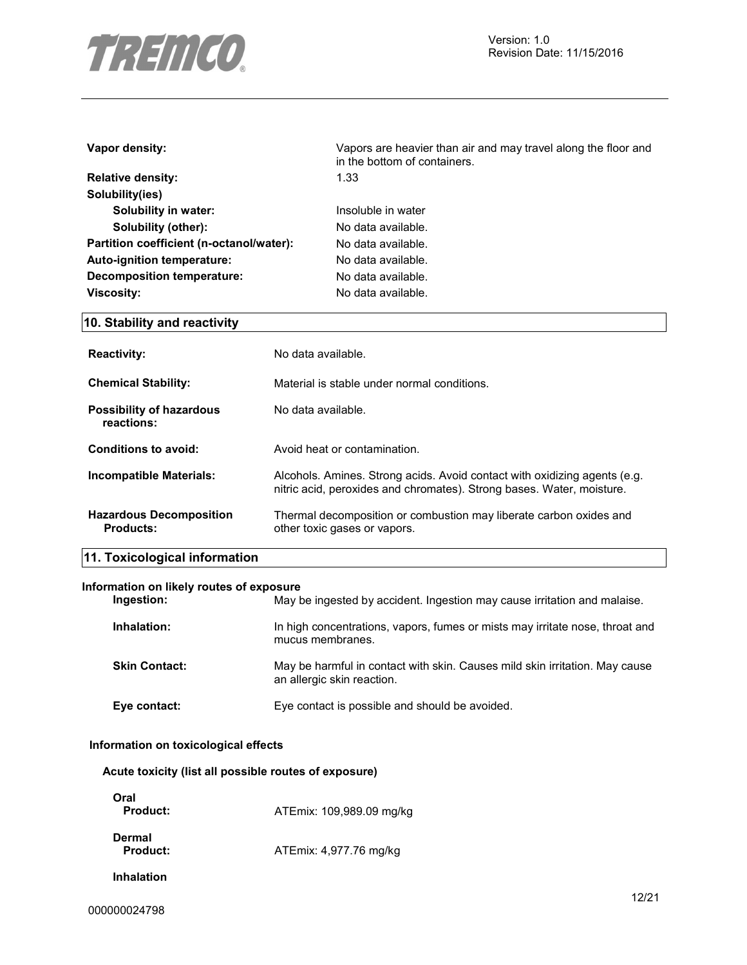

| Vapor density:                           | Vapors are heavier than air and may travel along the floor and<br>in the bottom of containers. |  |  |
|------------------------------------------|------------------------------------------------------------------------------------------------|--|--|
| <b>Relative density:</b>                 | 1.33                                                                                           |  |  |
| Solubility(ies)                          |                                                                                                |  |  |
| Solubility in water:                     | Insoluble in water                                                                             |  |  |
| Solubility (other):                      | No data available.                                                                             |  |  |
| Partition coefficient (n-octanol/water): | No data available.                                                                             |  |  |
| Auto-ignition temperature:               | No data available.                                                                             |  |  |
| Decomposition temperature:               | No data available.                                                                             |  |  |
| <b>Viscosity:</b>                        | No data available.                                                                             |  |  |
| 10. Stability and reactivity             |                                                                                                |  |  |
| <b>Reactivity:</b>                       | No data available.                                                                             |  |  |

| <b>Chemical Stability:</b>                         | Material is stable under normal conditions.                                                                                                        |
|----------------------------------------------------|----------------------------------------------------------------------------------------------------------------------------------------------------|
| <b>Possibility of hazardous</b><br>reactions:      | No data available.                                                                                                                                 |
| Conditions to avoid:                               | Avoid heat or contamination.                                                                                                                       |
| Incompatible Materials:                            | Alcohols. Amines. Strong acids. Avoid contact with oxidizing agents (e.g.<br>nitric acid, peroxides and chromates). Strong bases. Water, moisture. |
| <b>Hazardous Decomposition</b><br><b>Products:</b> | Thermal decomposition or combustion may liberate carbon oxides and<br>other toxic gases or vapors.                                                 |

# **11. Toxicological information**

#### **Information on likely routes of exposure**

| Ingestion:           | May be ingested by accident. Ingestion may cause irritation and malaise.                                  |
|----------------------|-----------------------------------------------------------------------------------------------------------|
| Inhalation:          | In high concentrations, vapors, fumes or mists may irritate nose, throat and<br>mucus membranes.          |
| <b>Skin Contact:</b> | May be harmful in contact with skin. Causes mild skin irritation. May cause<br>an allergic skin reaction. |
| Eye contact:         | Eye contact is possible and should be avoided.                                                            |

#### **Information on toxicological effects**

|  |  |  |  |  | Acute toxicity (list all possible routes of exposure) |
|--|--|--|--|--|-------------------------------------------------------|
|--|--|--|--|--|-------------------------------------------------------|

| Oral<br>Product:   | ATEmix: 109,989.09 mg/kg |
|--------------------|--------------------------|
| Dermal<br>Product: | ATEmix: 4,977.76 mg/kg   |
| Inhalation         |                          |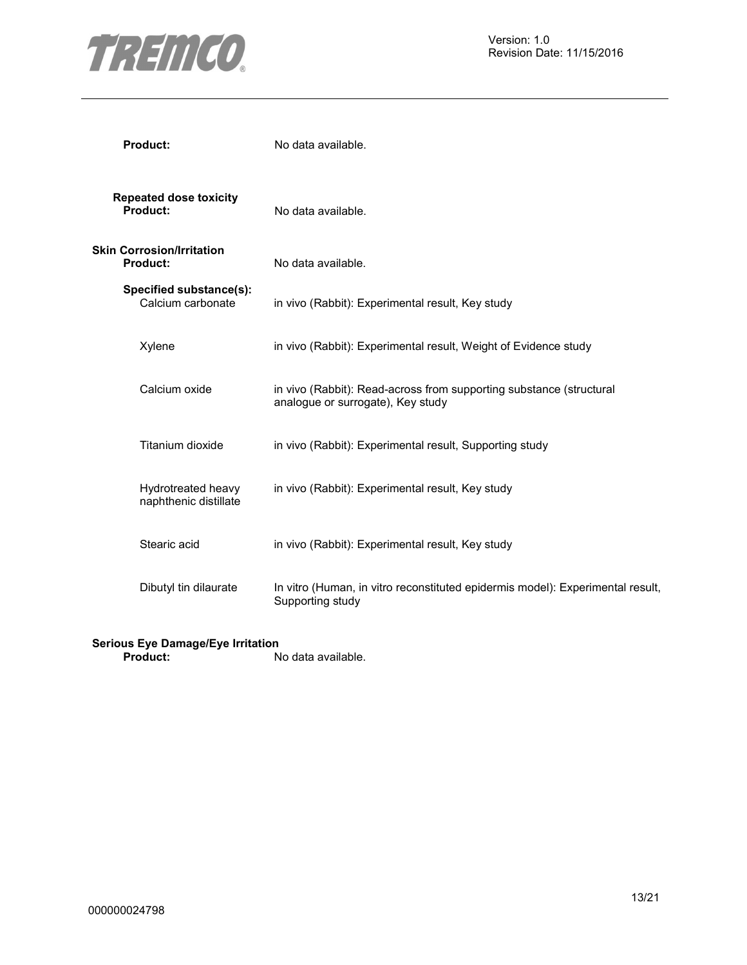

| <b>Product:</b>                              | No data available.                                                                                       |
|----------------------------------------------|----------------------------------------------------------------------------------------------------------|
| <b>Repeated dose toxicity</b><br>Product:    | No data available.                                                                                       |
| <b>Skin Corrosion/Irritation</b><br>Product: | No data available.                                                                                       |
| Specified substance(s):<br>Calcium carbonate | in vivo (Rabbit): Experimental result, Key study                                                         |
| Xylene                                       | in vivo (Rabbit): Experimental result, Weight of Evidence study                                          |
| Calcium oxide                                | in vivo (Rabbit): Read-across from supporting substance (structural<br>analogue or surrogate), Key study |
| Titanium dioxide                             | in vivo (Rabbit): Experimental result, Supporting study                                                  |
| Hydrotreated heavy<br>naphthenic distillate  | in vivo (Rabbit): Experimental result, Key study                                                         |
| Stearic acid                                 | in vivo (Rabbit): Experimental result, Key study                                                         |
| Dibutyl tin dilaurate                        | In vitro (Human, in vitro reconstituted epidermis model): Experimental result,<br>Supporting study       |

#### **Serious Eye Damage/Eye Irritation**

**Product:** No data available.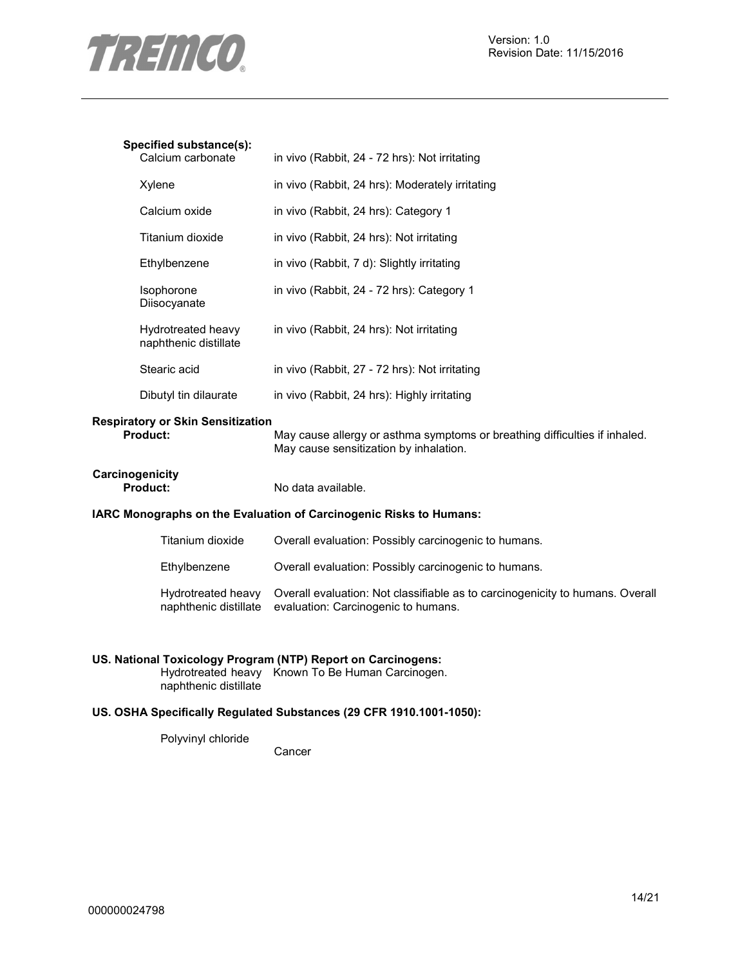

#### **Specified substance(s):**

| Jecilied SubStance(S).<br>Calcium carbonate | in vivo (Rabbit, 24 - 72 hrs): Not irritating   |
|---------------------------------------------|-------------------------------------------------|
| Xylene                                      | in vivo (Rabbit, 24 hrs): Moderately irritating |
| Calcium oxide                               | in vivo (Rabbit, 24 hrs): Category 1            |
| Titanium dioxide                            | in vivo (Rabbit, 24 hrs): Not irritating        |
| Ethylbenzene                                | in vivo (Rabbit, 7 d): Slightly irritating      |
| Isophorone<br>Diisocyanate                  | in vivo (Rabbit, 24 - 72 hrs): Category 1       |
| Hydrotreated heavy<br>naphthenic distillate | in vivo (Rabbit, 24 hrs): Not irritating        |
| Stearic acid                                | in vivo (Rabbit, 27 - 72 hrs): Not irritating   |
| Dibutyl tin dilaurate                       | in vivo (Rabbit, 24 hrs): Highly irritating     |

# **Respiratory or Skin Sensitization**

May cause allergy or asthma symptoms or breathing difficulties if inhaled. May cause sensitization by inhalation.

# **Carcinogenicity**

No data available.

#### **IARC Monographs on the Evaluation of Carcinogenic Risks to Humans:**

| Titanium dioxide                            | Overall evaluation: Possibly carcinogenic to humans.                                                                 |
|---------------------------------------------|----------------------------------------------------------------------------------------------------------------------|
| Ethylbenzene                                | Overall evaluation: Possibly carcinogenic to humans.                                                                 |
| Hydrotreated heavy<br>naphthenic distillate | Overall evaluation: Not classifiable as to carcinogenicity to humans. Overall<br>evaluation: Carcinogenic to humans. |

#### **US. National Toxicology Program (NTP) Report on Carcinogens:**

Hydrotreated heavy Known To Be Human Carcinogen. naphthenic distillate

### **US. OSHA Specifically Regulated Substances (29 CFR 1910.1001-1050):**

Polyvinyl chloride

Cancer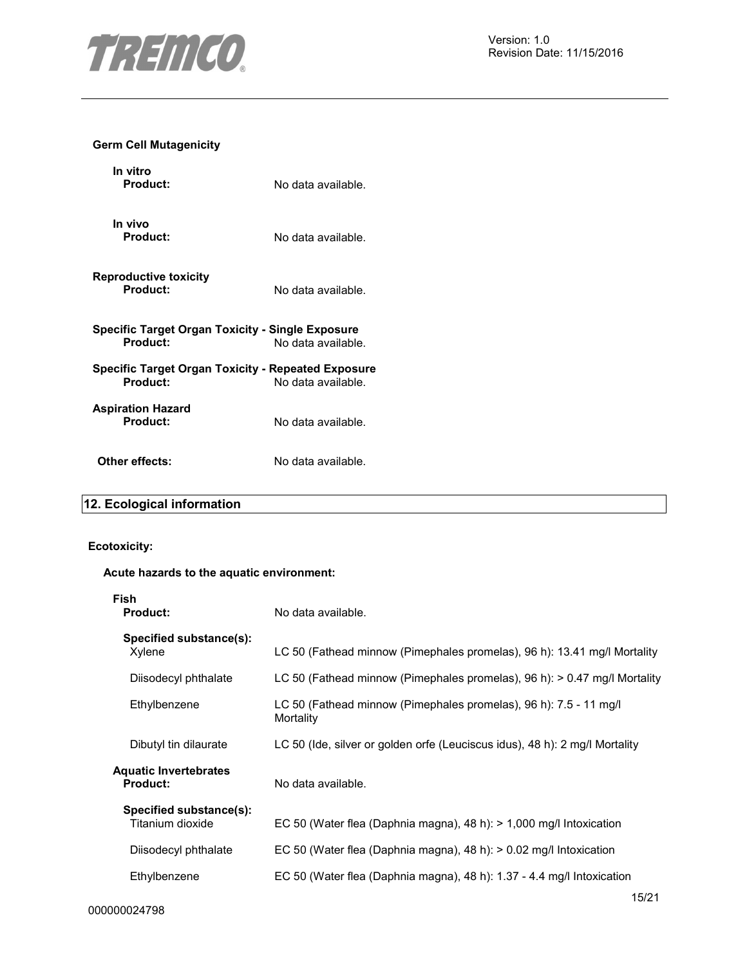

#### **Germ Cell Mutagenicity**

| In vitro<br>Product:                                                | No data available. |
|---------------------------------------------------------------------|--------------------|
| In vivo<br>Product:                                                 | No data available. |
| <b>Reproductive toxicity</b><br>Product:                            | No data available. |
| <b>Specific Target Organ Toxicity - Single Exposure</b><br>Product: | No data available. |
| Specific Target Organ Toxicity - Repeated Exposure<br>Product:      | No data available. |
| <b>Aspiration Hazard</b><br>Product:                                | No data available. |
| Other effects:                                                      | No data available. |

# **12. Ecological information**

# **Ecotoxicity:**

#### **Acute hazards to the aquatic environment:**

| Fish<br><b>Product:</b>                     | No data available.                                                             |
|---------------------------------------------|--------------------------------------------------------------------------------|
| Specified substance(s):<br>Xylene           | LC 50 (Fathead minnow (Pimephales promelas), 96 h): 13.41 mg/l Mortality       |
| Diisodecyl phthalate                        | LC 50 (Fathead minnow (Pimephales promelas), 96 h): > 0.47 mg/l Mortality      |
| Ethylbenzene                                | LC 50 (Fathead minnow (Pimephales promelas), 96 h): 7.5 - 11 mg/l<br>Mortality |
| Dibutyl tin dilaurate                       | LC 50 (Ide, silver or golden orfe (Leuciscus idus), 48 h): 2 mg/l Mortality    |
| Aquatic Invertebrates<br><b>Product:</b>    | No data available.                                                             |
| Specified substance(s):<br>Titanium dioxide | EC 50 (Water flea (Daphnia magna), 48 h): > 1,000 mg/l Intoxication            |
| Diisodecyl phthalate                        | EC 50 (Water flea (Daphnia magna), 48 h): $> 0.02$ mg/l Intoxication           |
| Ethylbenzene                                | EC 50 (Water flea (Daphnia magna), 48 h): 1.37 - 4.4 mg/l Intoxication         |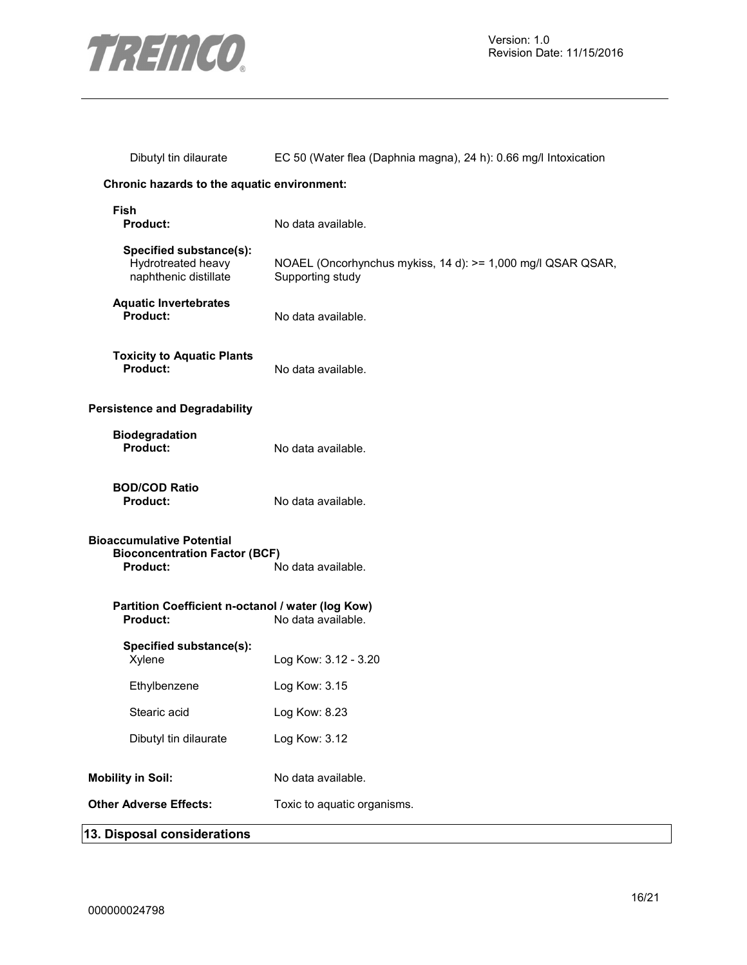

| Dibutyl tin dilaurate                                                                                      | EC 50 (Water flea (Daphnia magna), 24 h): 0.66 mg/l Intoxication                |  |
|------------------------------------------------------------------------------------------------------------|---------------------------------------------------------------------------------|--|
| Chronic hazards to the aquatic environment:                                                                |                                                                                 |  |
| <b>Fish</b><br>Product:                                                                                    | No data available.                                                              |  |
| Specified substance(s):<br>Hydrotreated heavy<br>naphthenic distillate                                     | NOAEL (Oncorhynchus mykiss, 14 d): >= 1,000 mg/l QSAR QSAR,<br>Supporting study |  |
| <b>Aquatic Invertebrates</b><br>Product:                                                                   | No data available.                                                              |  |
| <b>Toxicity to Aquatic Plants</b><br>Product:                                                              | No data available.                                                              |  |
| <b>Persistence and Degradability</b>                                                                       |                                                                                 |  |
| <b>Biodegradation</b><br>Product:                                                                          | No data available.                                                              |  |
| <b>BOD/COD Ratio</b><br>Product:                                                                           | No data available.                                                              |  |
| <b>Bioaccumulative Potential</b><br><b>Bioconcentration Factor (BCF)</b><br>No data available.<br>Product: |                                                                                 |  |
| Partition Coefficient n-octanol / water (log Kow)<br>Product:                                              | No data available.                                                              |  |
| Specified substance(s):<br>Xylene                                                                          | Log Kow: 3.12 - 3.20                                                            |  |
| Ethylbenzene                                                                                               | Log Kow: 3.15                                                                   |  |
| Stearic acid                                                                                               | Log Kow: 8.23                                                                   |  |
| Dibutyl tin dilaurate                                                                                      | Log Kow: 3.12                                                                   |  |
| <b>Mobility in Soil:</b>                                                                                   | No data available.                                                              |  |
| <b>Other Adverse Effects:</b>                                                                              | Toxic to aquatic organisms.                                                     |  |
| 13. Disposal considerations                                                                                |                                                                                 |  |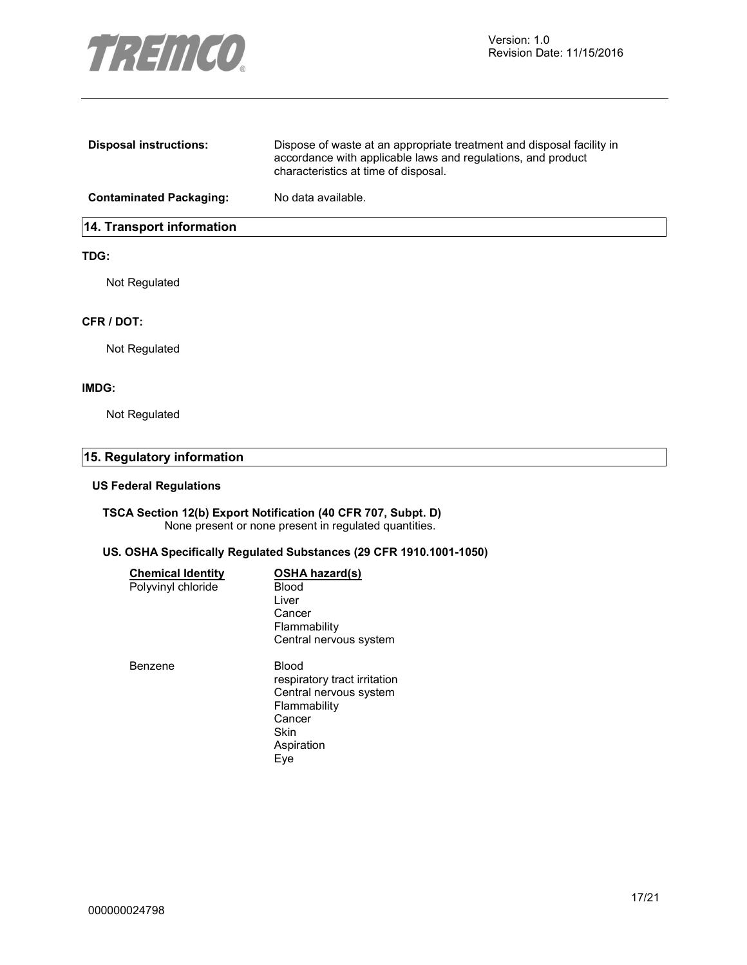

| <b>Disposal instructions:</b>    | Dispose of waste at an appropriate treatment and disposal facility in<br>accordance with applicable laws and regulations, and product<br>characteristics at time of disposal. |
|----------------------------------|-------------------------------------------------------------------------------------------------------------------------------------------------------------------------------|
| <b>Contaminated Packaging:</b>   | No data available.                                                                                                                                                            |
| <b>14. Transport information</b> |                                                                                                                                                                               |

#### **TDG:**

Not Regulated

#### **CFR / DOT:**

Not Regulated

#### **IMDG:**

Not Regulated

# **15. Regulatory information**

#### **US Federal Regulations**

#### **TSCA Section 12(b) Export Notification (40 CFR 707, Subpt. D)**  None present or none present in regulated quantities.

#### **US. OSHA Specifically Regulated Substances (29 CFR 1910.1001-1050)**

| <b>Chemical Identity</b> | <b>OSHA hazard(s)</b>        |
|--------------------------|------------------------------|
| Polyvinyl chloride       | Blood                        |
|                          | Liver                        |
|                          | Cancer                       |
|                          | Flammability                 |
|                          | Central nervous system       |
| Benzene                  | Blood                        |
|                          | respiratory tract irritation |
|                          | Central nervous system       |
|                          | Flammability                 |
|                          | Cancer                       |
|                          | Skin                         |
|                          | Aspiration                   |
|                          | Eye                          |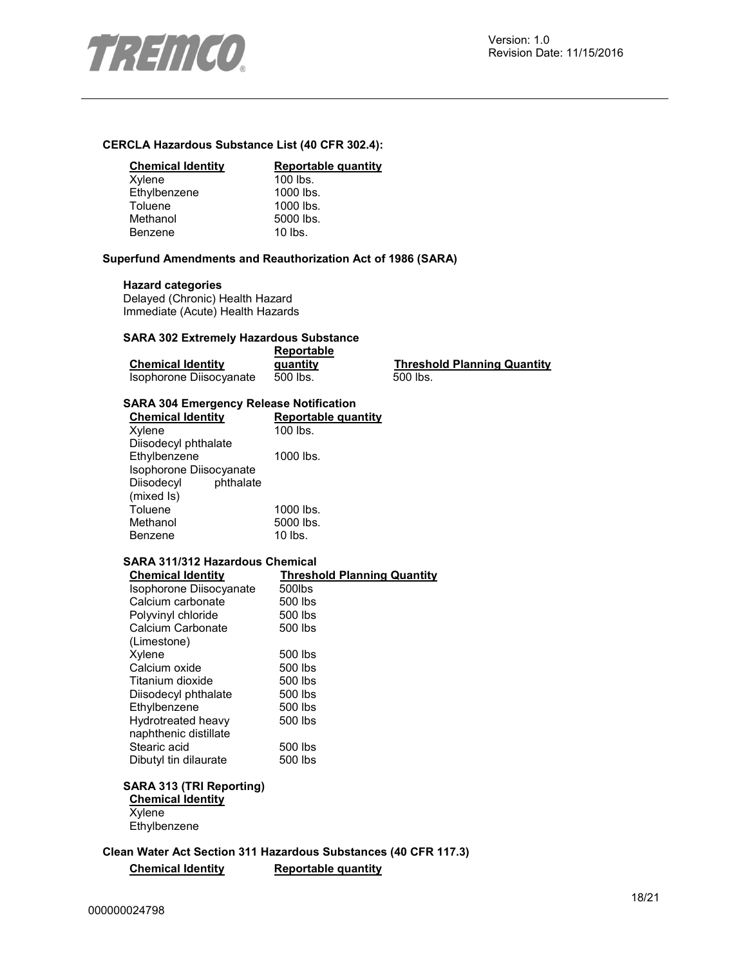

#### **CERCLA Hazardous Substance List (40 CFR 302.4):**

#### **Chemical Identity Reportable quantity**

| Xylene       | $100$ lbs. |
|--------------|------------|
| Ethylbenzene | 1000 lbs.  |
| Toluene      | 1000 lbs.  |
| Methanol     | 5000 lbs.  |
| Benzene      | $10$ lbs.  |
|              |            |

#### **Superfund Amendments and Reauthorization Act of 1986 (SARA)**

#### **Hazard categories**

Delayed (Chronic) Health Hazard Immediate (Acute) Health Hazards

#### **SARA 302 Extremely Hazardous Substance**

|                          | Reportable |  |
|--------------------------|------------|--|
| <b>Chemical Identity</b> | quantity   |  |
| Isophorone Diisocyanate  | 500 lbs.   |  |

**Threshold Planning Quantity**  $500$  lbs.

#### **SARA 304 Emergency Release Notification**

| Reportable quantity |
|---------------------|
| 100 lbs.            |
|                     |
| 1000 lbs.           |
|                     |
|                     |
|                     |
| 1000 lbs.           |
| 5000 lbs.           |
| $10$ lbs.           |
|                     |

#### **SARA 311/312 Hazardous Chemical**

| <b>Chemical Identity</b> | <b>Threshold Planning Quantity</b> |
|--------------------------|------------------------------------|
| Isophorone Diisocyanate  | 500lbs                             |
| Calcium carbonate        | 500 lbs                            |
| Polyvinyl chloride       | 500 lbs                            |
| Calcium Carbonate        | 500 lbs                            |
| (Limestone)              |                                    |
| Xylene                   | 500 lbs                            |
| Calcium oxide            | 500 lbs                            |
| Titanium dioxide         | 500 lbs                            |
| Diisodecyl phthalate     | 500 lbs                            |
| Ethylbenzene             | 500 lbs                            |
| Hydrotreated heavy       | 500 lbs                            |
| naphthenic distillate    |                                    |
| Stearic acid             | 500 lbs                            |
| Dibutyl tin dilaurate    | 500 lbs                            |

# **SARA 313 (TRI Reporting)**

**Chemical Identity Xylene Ethylbenzene** 

**Clean Water Act Section 311 Hazardous Substances (40 CFR 117.3) Chemical Identity Reportable quantity**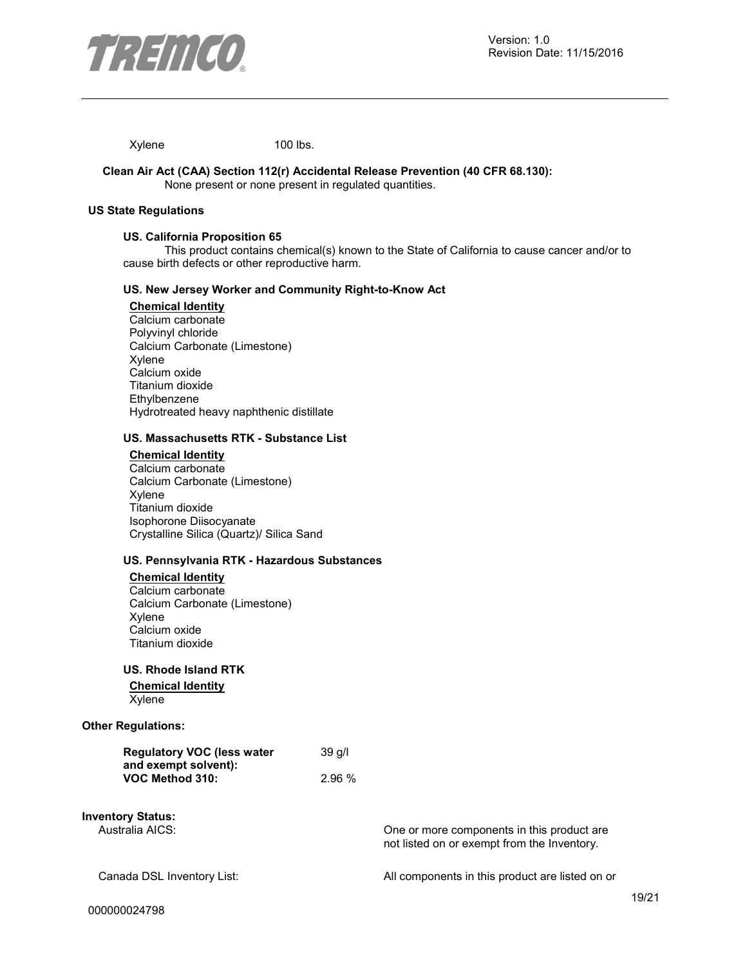

Xylene 100 lbs.

#### **Clean Air Act (CAA) Section 112(r) Accidental Release Prevention (40 CFR 68.130):**  None present or none present in regulated quantities.

#### **US State Regulations**

#### **US. California Proposition 65**

This product contains chemical(s) known to the State of California to cause cancer and/or to cause birth defects or other reproductive harm.

#### **US. New Jersey Worker and Community Right-to-Know Act**

#### **Chemical Identity**

Calcium carbonate Polyvinyl chloride Calcium Carbonate (Limestone) Xylene Calcium oxide Titanium dioxide **Ethylbenzene** Hydrotreated heavy naphthenic distillate

#### **US. Massachusetts RTK - Substance List**

#### **Chemical Identity** Calcium carbonate Calcium Carbonate (Limestone) Xylene Titanium dioxide Isophorone Diisocyanate Crystalline Silica (Quartz)/ Silica Sand

#### **US. Pennsylvania RTK - Hazardous Substances**

#### **Chemical Identity**

Calcium carbonate Calcium Carbonate (Limestone) Xylene Calcium oxide Titanium dioxide

#### **US. Rhode Island RTK**

#### **Chemical Identity** Xylene

#### **Other Regulations:**

| <b>Regulatory VOC (less water</b> | 39 g/l |
|-----------------------------------|--------|
| and exempt solvent):              |        |
| VOC Method 310:                   | 2.96%  |

# **Inventory Status:**

One or more components in this product are not listed on or exempt from the Inventory.

Canada DSL Inventory List: All components in this product are listed on or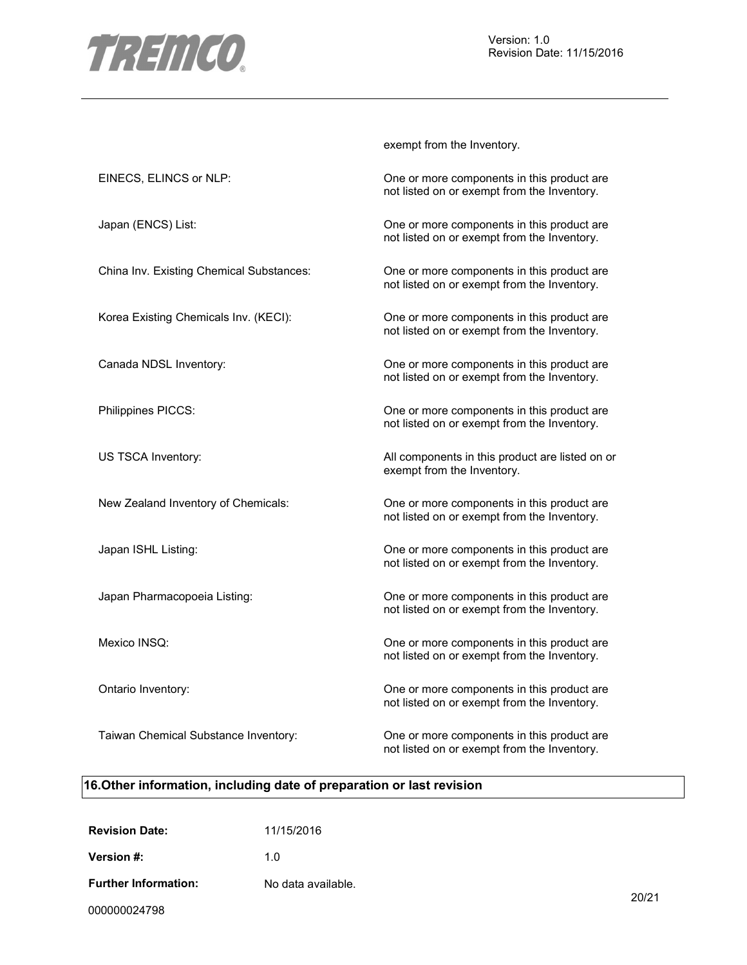

exempt from the Inventory.

| EINECS, ELINCS or NLP:                   | One or more components in this product are<br>not listed on or exempt from the Inventory. |
|------------------------------------------|-------------------------------------------------------------------------------------------|
| Japan (ENCS) List:                       | One or more components in this product are<br>not listed on or exempt from the Inventory. |
| China Inv. Existing Chemical Substances: | One or more components in this product are<br>not listed on or exempt from the Inventory. |
| Korea Existing Chemicals Inv. (KECI):    | One or more components in this product are<br>not listed on or exempt from the Inventory. |
| Canada NDSL Inventory:                   | One or more components in this product are<br>not listed on or exempt from the Inventory. |
| Philippines PICCS:                       | One or more components in this product are<br>not listed on or exempt from the Inventory. |
| US TSCA Inventory:                       | All components in this product are listed on or<br>exempt from the Inventory.             |
| New Zealand Inventory of Chemicals:      | One or more components in this product are<br>not listed on or exempt from the Inventory. |
| Japan ISHL Listing:                      | One or more components in this product are<br>not listed on or exempt from the Inventory. |
| Japan Pharmacopoeia Listing:             | One or more components in this product are<br>not listed on or exempt from the Inventory. |
| Mexico INSQ:                             | One or more components in this product are<br>not listed on or exempt from the Inventory. |
| Ontario Inventory:                       | One or more components in this product are<br>not listed on or exempt from the Inventory. |
| Taiwan Chemical Substance Inventory:     | One or more components in this product are<br>not listed on or exempt from the Inventory. |

# **16.Other information, including date of preparation or last revision**

| <b>Revision Date:</b>       | 11/15/2016         |
|-----------------------------|--------------------|
| Version #:                  | 1 በ                |
| <b>Further Information:</b> | No data available. |